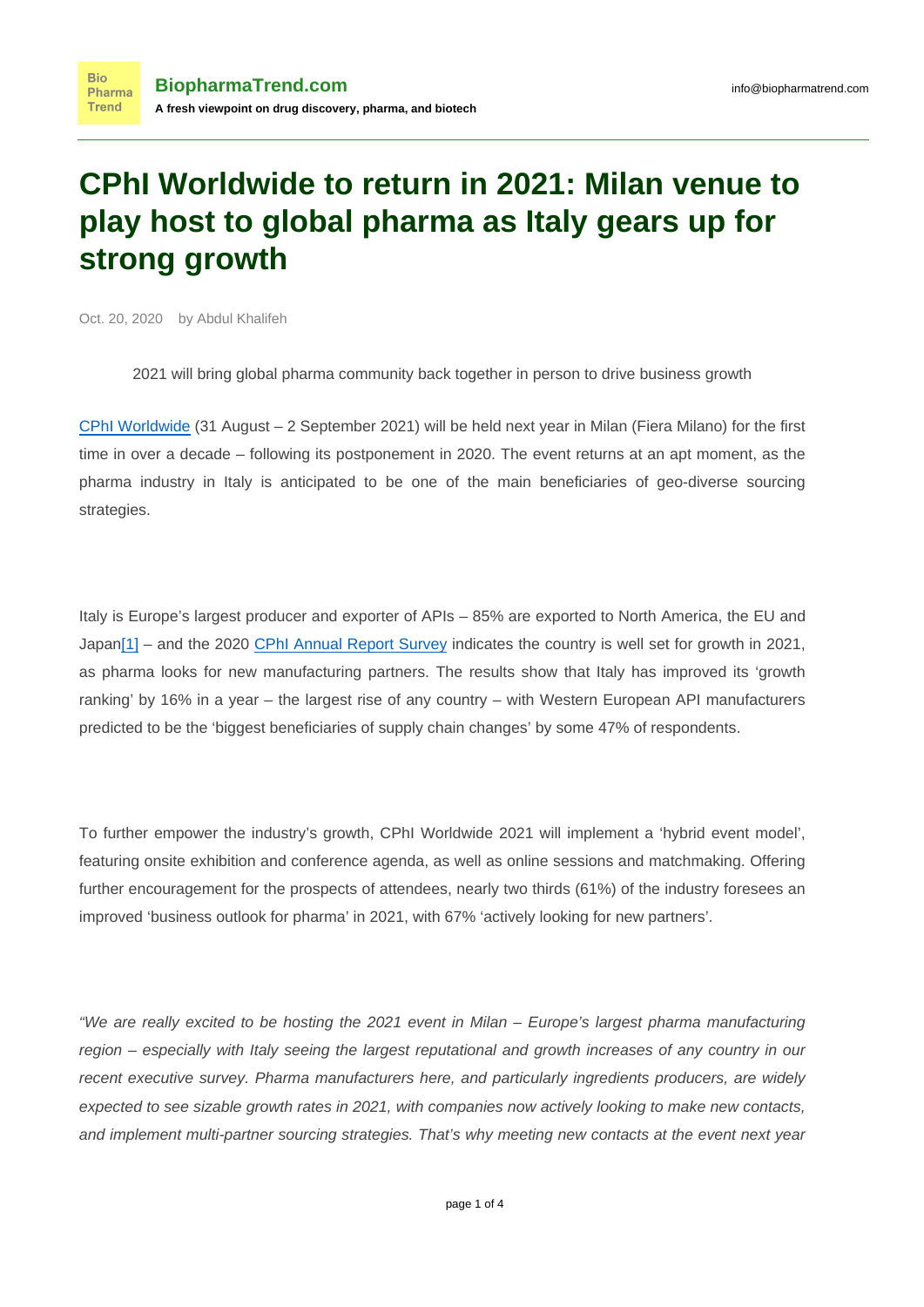## **CPhI Worldwide to return in 2021: Milan venue to play host to global pharma as Italy gears up for strong growth**

Oct. 20, 2020 by Abdul Khalifeh

2021 will bring global pharma community back together in person to drive business growth

[CPhI Worldwide](https://www.cphi.com/europe) (31 August – 2 September 2021) will be held next year in Milan (Fiera Milano) for the first time in over a decade – following its postponement in 2020. The event returns at an apt moment, as the pharma industry in Italy is anticipated to be one of the main beneficiaries of geo-diverse sourcing strategies.

<span id="page-0-0"></span>Italy is Europe's largest producer and exporter of APIs – 85% are exported to North America, the EU and Japa[n\[1\]](#page-3-0) – and the 2020 [CPhI Annual Report Survey](https://www.globalpharmainsights.com/markets/cphi-annual-report-2020) indicates the country is well set for growth in 2021, as pharma looks for new manufacturing partners. The results show that Italy has improved its 'growth ranking' by 16% in a year – the largest rise of any country – with Western European API manufacturers predicted to be the 'biggest beneficiaries of supply chain changes' by some 47% of respondents.

To further empower the industry's growth, CPhI Worldwide 2021 will implement a 'hybrid event model', featuring onsite exhibition and conference agenda, as well as online sessions and matchmaking. Offering further encouragement for the prospects of attendees, nearly two thirds (61%) of the industry foresees an improved 'business outlook for pharma' in 2021, with 67% 'actively looking for new partners'.

"We are really excited to be hosting the 2021 event in Milan – Europe's largest pharma manufacturing region – especially with Italy seeing the largest reputational and growth increases of any country in our recent executive survey. Pharma manufacturers here, and particularly ingredients producers, are widely expected to see sizable growth rates in 2021, with companies now actively looking to make new contacts, and implement multi-partner sourcing strategies. That's why meeting new contacts at the event next year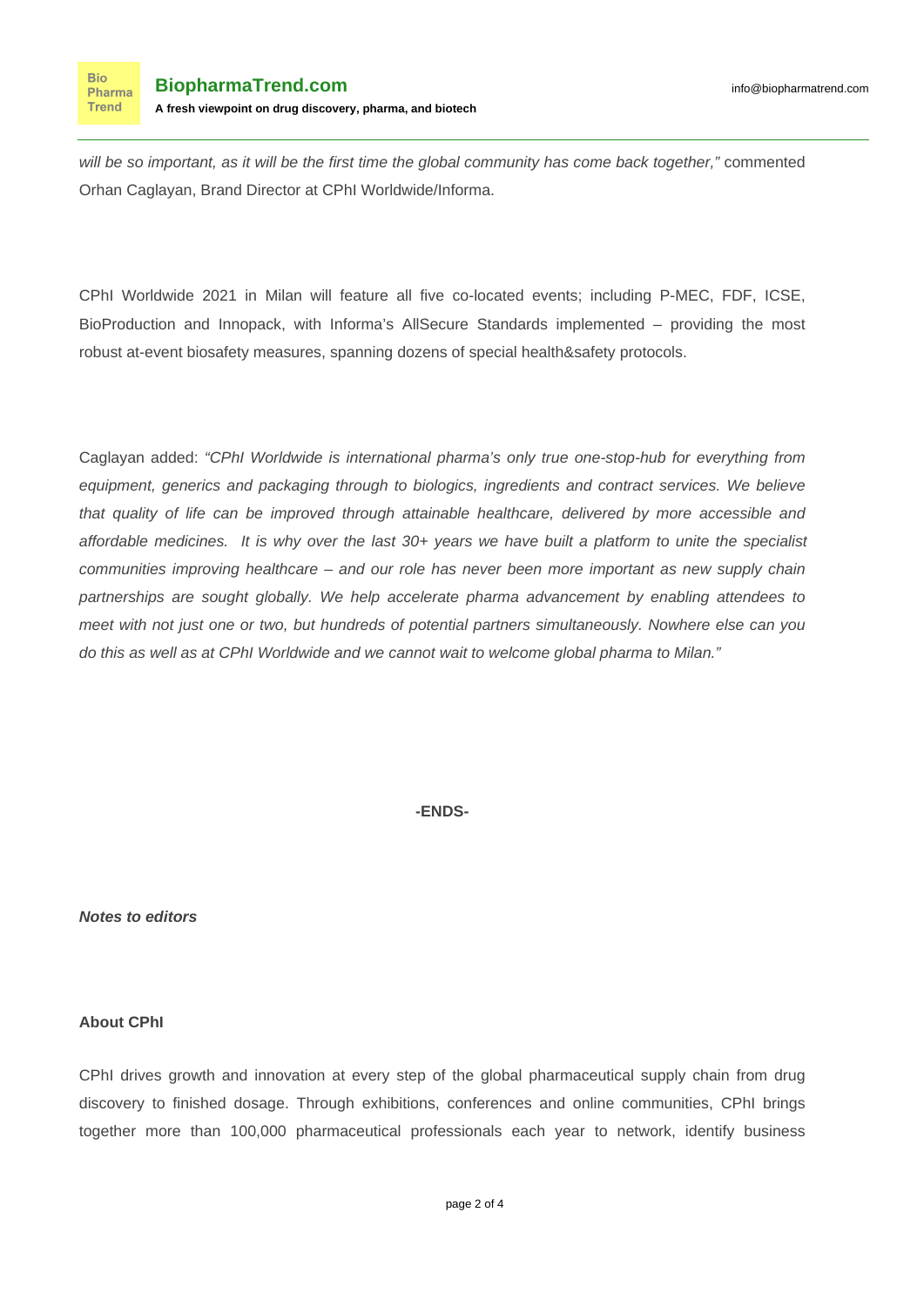will be so important, as it will be the first time the global community has come back together," commented Orhan Caglayan, Brand Director at CPhI Worldwide/Informa.

CPhI Worldwide 2021 in Milan will feature all five co-located events; including P-MEC, FDF, ICSE, BioProduction and Innopack, with Informa's AllSecure Standards implemented – providing the most robust at-event biosafety measures, spanning dozens of special health&safety protocols.

Caglayan added: "CPhI Worldwide is international pharma's only true one-stop-hub for everything from equipment, generics and packaging through to biologics, ingredients and contract services. We believe that quality of life can be improved through attainable healthcare, delivered by more accessible and affordable medicines. It is why over the last 30+ years we have built a platform to unite the specialist communities improving healthcare – and our role has never been more important as new supply chain partnerships are sought globally. We help accelerate pharma advancement by enabling attendees to meet with not just one or two, but hundreds of potential partners simultaneously. Nowhere else can you do this as well as at CPhI Worldwide and we cannot wait to welcome global pharma to Milan."

**-ENDS-**

**Notes to editors**

## **About CPhI**

CPhI drives growth and innovation at every step of the global pharmaceutical supply chain from drug discovery to finished dosage. Through exhibitions, conferences and online communities, CPhI brings together more than 100,000 pharmaceutical professionals each year to network, identify business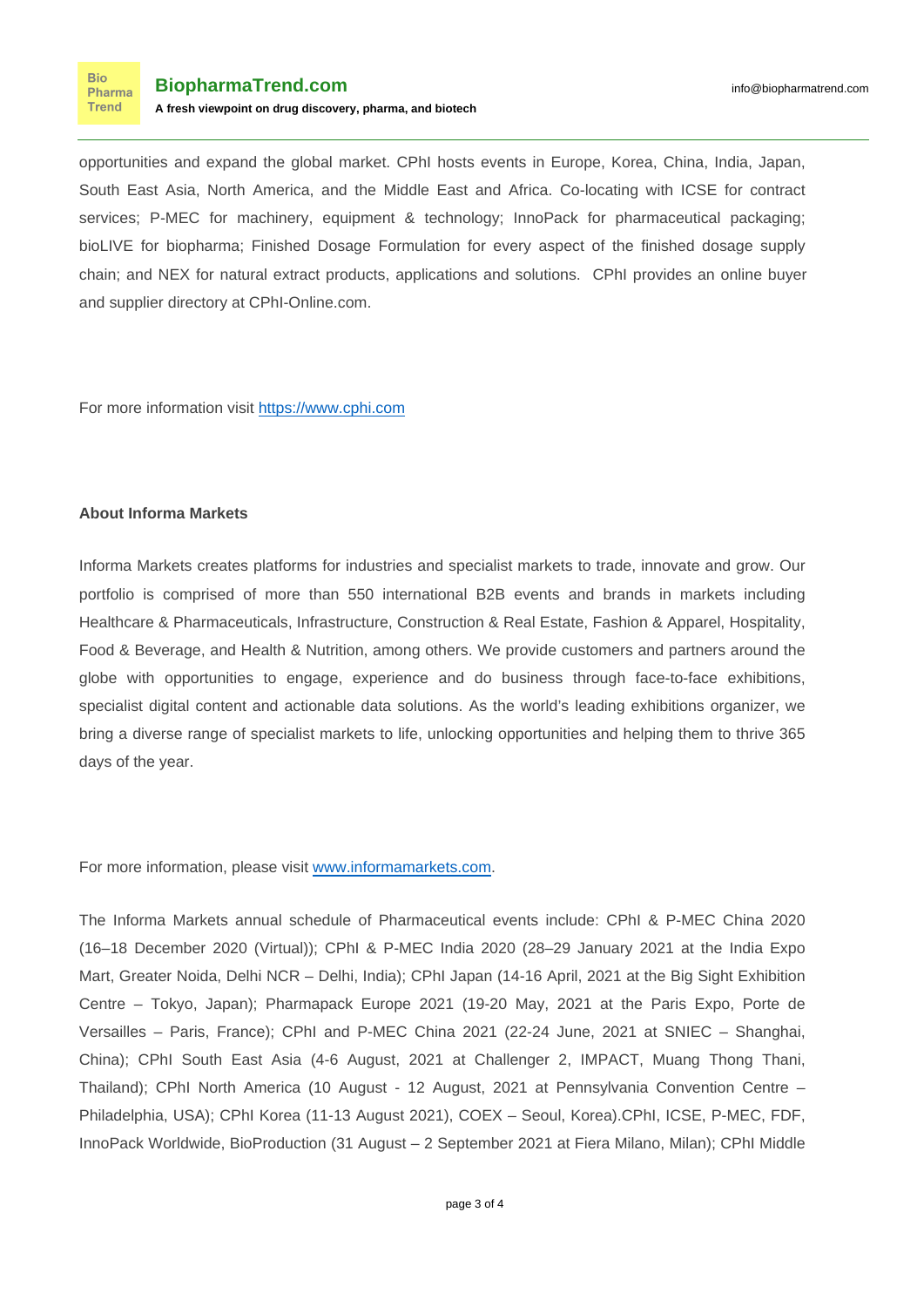**Bio** Pharma **Trend** 

opportunities and expand the global market. CPhI hosts events in Europe, Korea, China, India, Japan, South East Asia, North America, and the Middle East and Africa. Co-locating with ICSE for contract services; P-MEC for machinery, equipment & technology; InnoPack for pharmaceutical packaging; bioLIVE for biopharma; Finished Dosage Formulation for every aspect of the finished dosage supply chain; and NEX for natural extract products, applications and solutions. CPhI provides an online buyer and supplier directory at CPhI-Online.com.

For more information visit [https://www.cphi.com](https://www.cphi.com/)

## **About Informa Markets**

Informa Markets creates platforms for industries and specialist markets to trade, innovate and grow. Our portfolio is comprised of more than 550 international B2B events and brands in markets including Healthcare & Pharmaceuticals, Infrastructure, Construction & Real Estate, Fashion & Apparel, Hospitality, Food & Beverage, and Health & Nutrition, among others. We provide customers and partners around the globe with opportunities to engage, experience and do business through face-to-face exhibitions, specialist digital content and actionable data solutions. As the world's leading exhibitions organizer, we bring a diverse range of specialist markets to life, unlocking opportunities and helping them to thrive 365 days of the year.

For more information, please visit [www.informamarkets.com.](http://www.informamarkets.com)

The Informa Markets annual schedule of Pharmaceutical events include: CPhI & P-MEC China 2020 (16–18 December 2020 (Virtual)); CPhI & P-MEC India 2020 (28–29 January 2021 at the India Expo Mart, Greater Noida, Delhi NCR – Delhi, India); CPhI Japan (14-16 April, 2021 at the Big Sight Exhibition Centre – Tokyo, Japan); Pharmapack Europe 2021 (19-20 May, 2021 at the Paris Expo, Porte de Versailles – Paris, France); CPhI and P-MEC China 2021 (22-24 June, 2021 at SNIEC – Shanghai, China); CPhI South East Asia (4-6 August, 2021 at Challenger 2, IMPACT, Muang Thong Thani, Thailand); CPhI North America (10 August - 12 August, 2021 at Pennsylvania Convention Centre – Philadelphia, USA); CPhI Korea (11-13 August 2021), COEX – Seoul, Korea).CPhI, ICSE, P-MEC, FDF, InnoPack Worldwide, BioProduction (31 August – 2 September 2021 at Fiera Milano, Milan); CPhI Middle